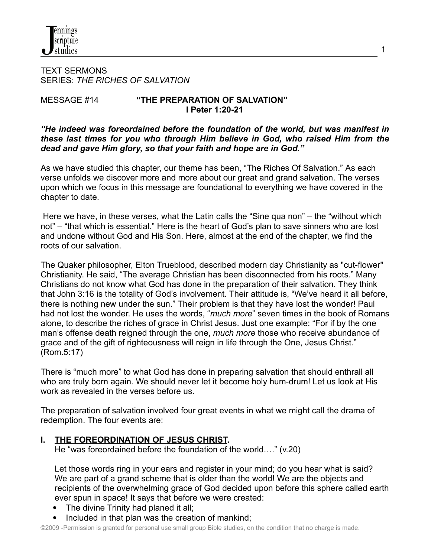TEXT SERMONS SERIES: *THE RICHES OF SALVATION*

### MESSAGE #14 **"THE PREPARATION OF SALVATION" I Peter 1:20-21**

*"He indeed was foreordained before the foundation of the world, but was manifest in these last times for you who through Him believe in God, who raised Him from the dead and gave Him glory, so that your faith and hope are in God."*

As we have studied this chapter, our theme has been, "The Riches Of Salvation." As each verse unfolds we discover more and more about our great and grand salvation. The verses upon which we focus in this message are foundational to everything we have covered in the chapter to date.

Here we have, in these verses, what the Latin calls the "Sine qua non" – the "without which not" – "that which is essential." Here is the heart of God's plan to save sinners who are lost and undone without God and His Son. Here, almost at the end of the chapter, we find the roots of our salvation.

The Quaker philosopher, Elton Trueblood, described modern day Christianity as "cut-flower" Christianity. He said, "The average Christian has been disconnected from his roots." Many Christians do not know what God has done in the preparation of their salvation. They think that John 3:16 is the totality of God's involvement. Their attitude is, "We've heard it all before, there is nothing new under the sun." Their problem is that they have lost the wonder! Paul had not lost the wonder. He uses the words, "*much more*" seven times in the book of Romans alone, to describe the riches of grace in Christ Jesus. Just one example: "For if by the one man's offense death reigned through the one, *much more* those who receive abundance of grace and of the gift of righteousness will reign in life through the One, Jesus Christ." (Rom.5:17)

There is "much more" to what God has done in preparing salvation that should enthrall all who are truly born again. We should never let it become holy hum-drum! Let us look at His work as revealed in the verses before us.

The preparation of salvation involved four great events in what we might call the drama of redemption. The four events are:

**I. THE FOREORDINATION OF JESUS CHRIST.**

He "was foreordained before the foundation of the world…." (v.20)

Let those words ring in your ears and register in your mind; do you hear what is said? We are part of a grand scheme that is older than the world! We are the objects and recipients of the overwhelming grace of God decided upon before this sphere called earth ever spun in space! It says that before we were created:

- The divine Trinity had planed it all;
- Included in that plan was the creation of mankind;

©2009 -Permission is granted for personal use small group Bible studies, on the condition that no charge is made.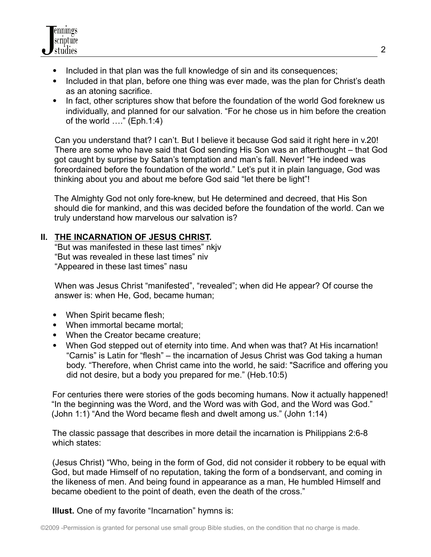

- Included in that plan was the full knowledge of sin and its consequences;
- Included in that plan, before one thing was ever made, was the plan for Christ's death as an atoning sacrifice.
- In fact, other scriptures show that before the foundation of the world God foreknew us individually, and planned for our salvation. "For he chose us in him before the creation of the world …." (Eph.1:4)

Can you understand that? I can't. But I believe it because God said it right here in v.20! There are some who have said that God sending His Son was an afterthought – that God got caught by surprise by Satan's temptation and man's fall. Never! "He indeed was foreordained before the foundation of the world." Let's put it in plain language, God was thinking about you and about me before God said "let there be light"!

The Almighty God not only fore-knew, but He determined and decreed, that His Son should die for mankind, and this was decided before the foundation of the world. Can we truly understand how marvelous our salvation is?

# **II. THE INCARNATION OF JESUS CHRIST.**

"But was manifested in these last times" nkjv "But was revealed in these last times" niv "Appeared in these last times" nasu

When was Jesus Christ "manifested", "revealed"; when did He appear? Of course the answer is: when He, God, became human;

- When Spirit became flesh;
- When immortal became mortal:
- When the Creator became creature:
- When God stepped out of eternity into time. And when was that? At His incarnation! "Carnis" is Latin for "flesh" – the incarnation of Jesus Christ was God taking a human body. "Therefore, when Christ came into the world, he said: "Sacrifice and offering you did not desire, but a body you prepared for me." (Heb.10:5)

For centuries there were stories of the gods becoming humans. Now it actually happened! "In the beginning was the Word, and the Word was with God, and the Word was God." (John 1:1) "And the Word became flesh and dwelt among us." (John 1:14)

The classic passage that describes in more detail the incarnation is Philippians 2:6-8 which states:

(Jesus Christ) "Who, being in the form of God, did not consider it robbery to be equal with God, but made Himself of no reputation, taking the form of a bondservant, and coming in the likeness of men. And being found in appearance as a man, He humbled Himself and became obedient to the point of death, even the death of the cross."

**Illust.** One of my favorite "Incarnation" hymns is: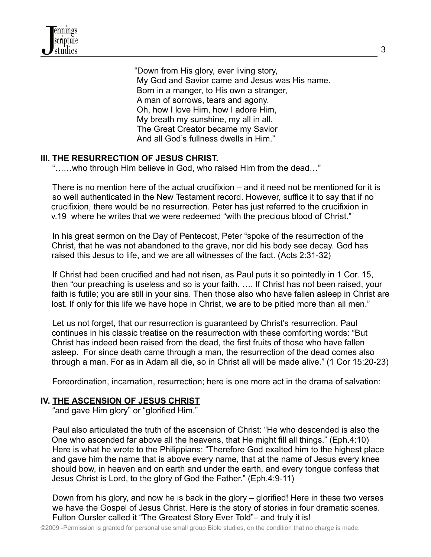"Down from His glory, ever living story, My God and Savior came and Jesus was His name. Born in a manger, to His own a stranger, A man of sorrows, tears and agony. Oh, how I love Him, how I adore Him, My breath my sunshine, my all in all. The Great Creator became my Savior And all God's fullness dwells in Him."

# **III. THE RESURRECTION OF JESUS CHRIST.**

"……who through Him believe in God, who raised Him from the dead…"

There is no mention here of the actual crucifixion – and it need not be mentioned for it is so well authenticated in the New Testament record. However, suffice it to say that if no crucifixion, there would be no resurrection. Peter has just referred to the crucifixion in v.19 where he writes that we were redeemed "with the precious blood of Christ."

In his great sermon on the Day of Pentecost, Peter "spoke of the resurrection of the Christ, that he was not abandoned to the grave, nor did his body see decay. God has raised this Jesus to life, and we are all witnesses of the fact. (Acts 2:31-32)

If Christ had been crucified and had not risen, as Paul puts it so pointedly in 1 Cor. 15, then "our preaching is useless and so is your faith. …. If Christ has not been raised, your faith is futile; you are still in your sins. Then those also who have fallen asleep in Christ are lost. If only for this life we have hope in Christ, we are to be pitied more than all men."

Let us not forget, that our resurrection is guaranteed by Christ's resurrection. Paul continues in his classic treatise on the resurrection with these comforting words: "But Christ has indeed been raised from the dead, the first fruits of those who have fallen asleep. For since death came through a man, the resurrection of the dead comes also through a man. For as in Adam all die, so in Christ all will be made alive." (1 Cor 15:20-23)

Foreordination, incarnation, resurrection; here is one more act in the drama of salvation:

#### **IV. THE ASCENSION OF JESUS CHRIST**

"and gave Him glory" or "glorified Him."

Paul also articulated the truth of the ascension of Christ: "He who descended is also the One who ascended far above all the heavens, that He might fill all things." (Eph.4:10) Here is what he wrote to the Philippians: "Therefore God exalted him to the highest place and gave him the name that is above every name, that at the name of Jesus every knee should bow, in heaven and on earth and under the earth, and every tongue confess that Jesus Christ is Lord, to the glory of God the Father." (Eph.4:9-11)

Down from his glory, and now he is back in the glory – glorified! Here in these two verses we have the Gospel of Jesus Christ. Here is the story of stories in four dramatic scenes. Fulton Oursler called it "The Greatest Story Ever Told"– and truly it is!